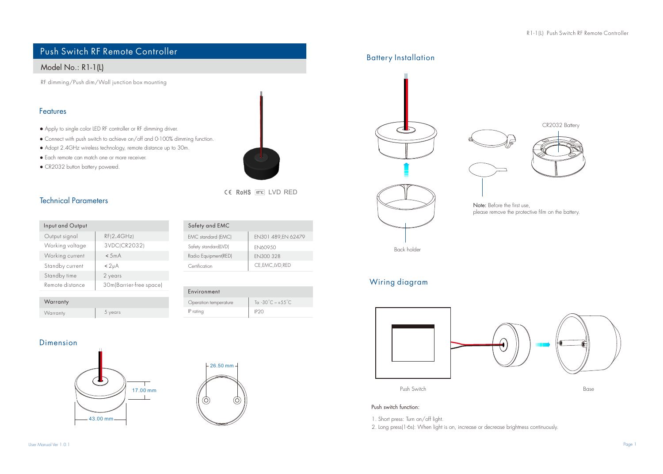# Push Switch RF Remote Controller

# Model No.: R1-1(L)

RF dimming/Push dim/Wall junction box mounting

### Features

- Apply to single color LED RF controller or RF dimming driver.
- Connect with push switch to achieve on/off and 0-100% dimming function.
- Adopt 2.4GHz wireless technology, remote distance up to 30m.
- Each remote can match one or more receiver.
- CR2032 button battery powered.



| Input and Output |                         |
|------------------|-------------------------|
| Output signal    | RF(2.4GHz)              |
| Working voltage  | 3VDC(CR2032)            |
| Working current  | < 5mA                   |
| Standby current  | < 2 <sub>µ</sub> A      |
| Standby time     | 2 years                 |
| Remote distance  | 30m(Barrier-free space) |
|                  |                         |

| EMC standard (EMC)   | EN301 489, EN 62479 |
|----------------------|---------------------|
| Safety standard(LVD) | EN60950             |
| Radio Equipment(RED) | FN300 328           |
| Certification        | CE, EMC, LVD, RED   |
|                      |                     |

CE RoHS (emc) LVD RED

| Warranty |         |  |
|----------|---------|--|
| Warranty | 5 years |  |

### Operation temperature Environment IP rating P20 Ta:  $-30^{\circ}$ C  $\sim +55^{\circ}$ C

### Dimension





Safety and EMC





# Wiring diagram



#### Push switch function:

1. Short press: Turn on/off light.

2. Long press(1-6s): When light is on, increase or decrease brightness continuously.